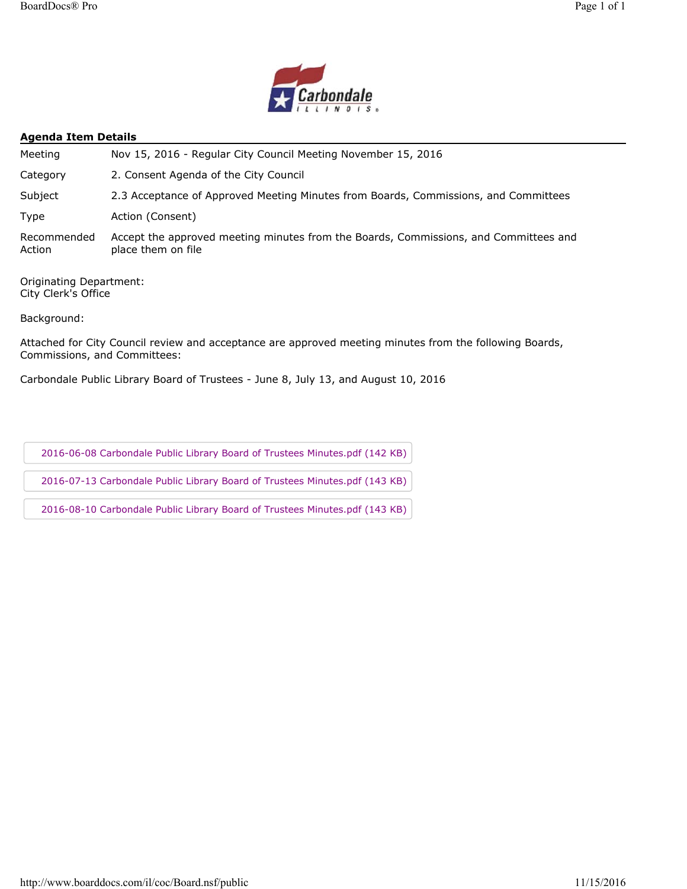

#### **Agenda Item Details**

| Meeting               | Nov 15, 2016 - Regular City Council Meeting November 15, 2016                                              |
|-----------------------|------------------------------------------------------------------------------------------------------------|
| Category              | 2. Consent Agenda of the City Council                                                                      |
| Subject               | 2.3 Acceptance of Approved Meeting Minutes from Boards, Commissions, and Committees                        |
| Type                  | Action (Consent)                                                                                           |
| Recommended<br>Action | Accept the approved meeting minutes from the Boards, Commissions, and Committees and<br>place them on file |

Originating Department: City Clerk's Office

Background:

Attached for City Council review and acceptance are approved meeting minutes from the following Boards, Commissions, and Committees:

Carbondale Public Library Board of Trustees - June 8, July 13, and August 10, 2016

2016-06-08 Carbondale Public Library Board of Trustees Minutes.pdf (142 KB)

2016-07-13 Carbondale Public Library Board of Trustees Minutes.pdf (143 KB)

2016-08-10 Carbondale Public Library Board of Trustees Minutes.pdf (143 KB)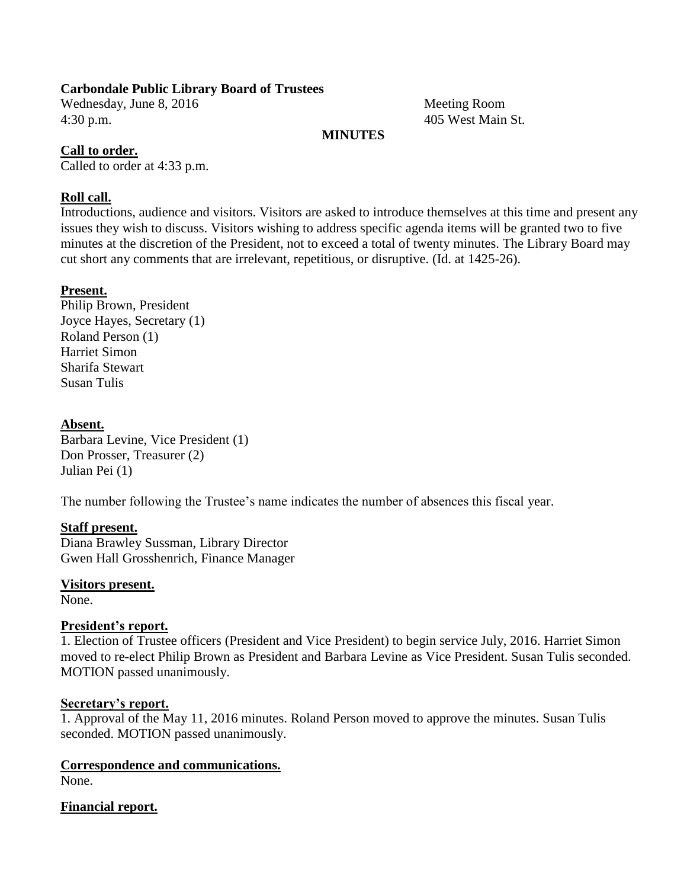### **Carbondale Public Library Board of Trustees**

Wednesday, June 8, 2016 Meeting Room 4:30 p.m. 405 West Main St.

#### **MINUTES**

#### **Call to order.**

Called to order at 4:33 p.m.

### **Roll call.**

Introductions, audience and visitors. Visitors are asked to introduce themselves at this time and present any issues they wish to discuss. Visitors wishing to address specific agenda items will be granted two to five minutes at the discretion of the President, not to exceed a total of twenty minutes. The Library Board may cut short any comments that are irrelevant, repetitious, or disruptive. (Id. at 1425-26).

### **Present.**

Philip Brown, President Joyce Hayes, Secretary (1) Roland Person (1) Harriet Simon Sharifa Stewart Susan Tulis

#### **Absent.**

Barbara Levine, Vice President (1) Don Prosser, Treasurer (2) Julian Pei (1)

The number following the Trustee's name indicates the number of absences this fiscal year.

## **Staff present.**

Diana Brawley Sussman, Library Director Gwen Hall Grosshenrich, Finance Manager

**Visitors present.**

None.

#### **President's report.**

1. Election of Trustee officers (President and Vice President) to begin service July, 2016. Harriet Simon moved to re-elect Philip Brown as President and Barbara Levine as Vice President. Susan Tulis seconded. MOTION passed unanimously.

#### **Secretary's report.**

1. Approval of the May 11, 2016 minutes. Roland Person moved to approve the minutes. Susan Tulis seconded. MOTION passed unanimously.

#### **Correspondence and communications.** None.

#### **Financial report.**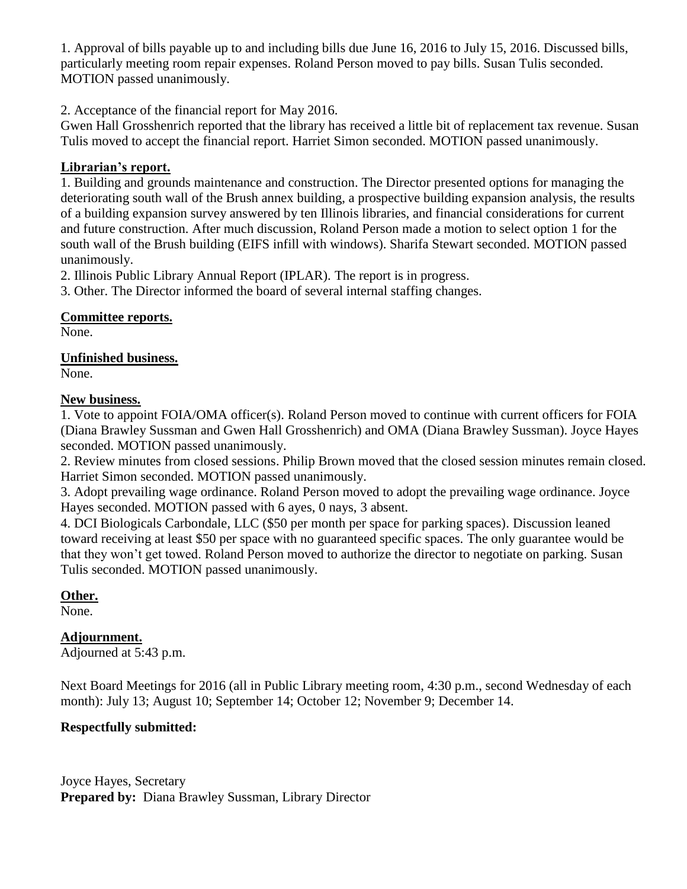1. Approval of bills payable up to and including bills due June 16, 2016 to July 15, 2016. Discussed bills, particularly meeting room repair expenses. Roland Person moved to pay bills. Susan Tulis seconded. MOTION passed unanimously.

2. Acceptance of the financial report for May 2016.

Gwen Hall Grosshenrich reported that the library has received a little bit of replacement tax revenue. Susan Tulis moved to accept the financial report. Harriet Simon seconded. MOTION passed unanimously.

## **Librarian's report.**

1. Building and grounds maintenance and construction. The Director presented options for managing the deteriorating south wall of the Brush annex building, a prospective building expansion analysis, the results of a building expansion survey answered by ten Illinois libraries, and financial considerations for current and future construction. After much discussion, Roland Person made a motion to select option 1 for the south wall of the Brush building (EIFS infill with windows). Sharifa Stewart seconded. MOTION passed unanimously.

2. Illinois Public Library Annual Report (IPLAR). The report is in progress.

3. Other. The Director informed the board of several internal staffing changes.

**Committee reports.**

None.

**Unfinished business.**

None.

## **New business.**

1. Vote to appoint FOIA/OMA officer(s). Roland Person moved to continue with current officers for FOIA (Diana Brawley Sussman and Gwen Hall Grosshenrich) and OMA (Diana Brawley Sussman). Joyce Hayes seconded. MOTION passed unanimously.

2. Review minutes from closed sessions. Philip Brown moved that the closed session minutes remain closed. Harriet Simon seconded. MOTION passed unanimously.

3. Adopt prevailing wage ordinance. Roland Person moved to adopt the prevailing wage ordinance. Joyce Hayes seconded. MOTION passed with 6 ayes, 0 nays, 3 absent.

4. DCI Biologicals Carbondale, LLC (\$50 per month per space for parking spaces). Discussion leaned toward receiving at least \$50 per space with no guaranteed specific spaces. The only guarantee would be that they won't get towed. Roland Person moved to authorize the director to negotiate on parking. Susan Tulis seconded. MOTION passed unanimously.

# **Other.**

None.

# **Adjournment.**

Adjourned at 5:43 p.m.

Next Board Meetings for 2016 (all in Public Library meeting room, 4:30 p.m., second Wednesday of each month): July 13; August 10; September 14; October 12; November 9; December 14.

# **Respectfully submitted:**

Joyce Hayes, Secretary **Prepared by:** Diana Brawley Sussman, Library Director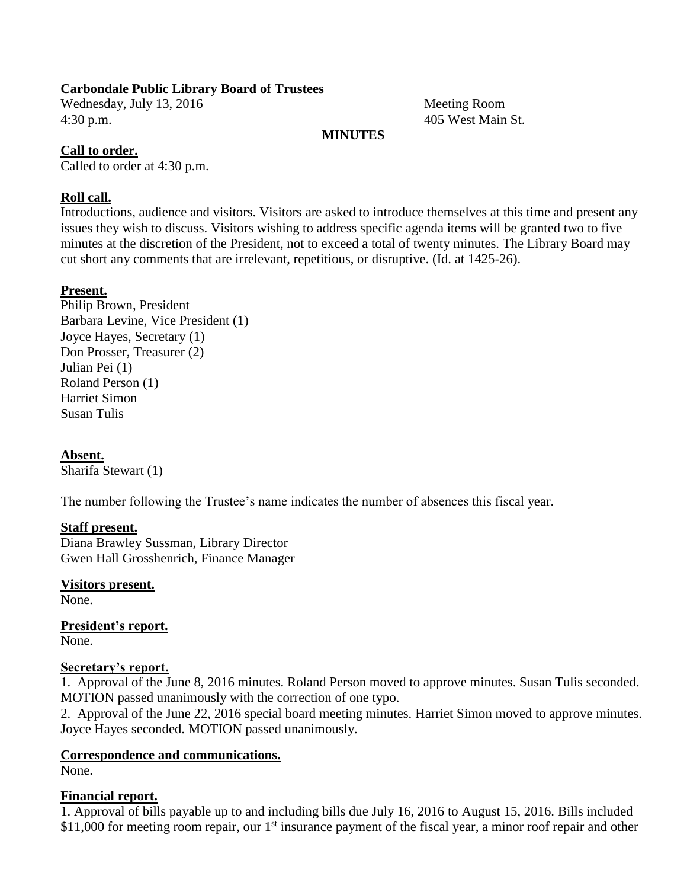### **Carbondale Public Library Board of Trustees**

Wednesday, July 13, 2016 Meeting Room 4:30 p.m. 405 West Main St.

### **MINUTES**

### **Call to order.**

Called to order at 4:30 p.m.

### **Roll call.**

Introductions, audience and visitors. Visitors are asked to introduce themselves at this time and present any issues they wish to discuss. Visitors wishing to address specific agenda items will be granted two to five minutes at the discretion of the President, not to exceed a total of twenty minutes. The Library Board may cut short any comments that are irrelevant, repetitious, or disruptive. (Id. at 1425-26).

### **Present.**

Philip Brown, President Barbara Levine, Vice President (1) Joyce Hayes, Secretary (1) Don Prosser, Treasurer (2) Julian Pei (1) Roland Person (1) Harriet Simon Susan Tulis

## **Absent.**

Sharifa Stewart (1)

The number following the Trustee's name indicates the number of absences this fiscal year.

#### **Staff present.**

Diana Brawley Sussman, Library Director Gwen Hall Grosshenrich, Finance Manager

## **Visitors present.**

None.

#### **President's report.** None.

#### **Secretary's report.**

1. Approval of the June 8, 2016 minutes. Roland Person moved to approve minutes. Susan Tulis seconded. MOTION passed unanimously with the correction of one typo.

2. Approval of the June 22, 2016 special board meeting minutes. Harriet Simon moved to approve minutes. Joyce Hayes seconded. MOTION passed unanimously.

## **Correspondence and communications.**

None.

#### **Financial report.**

1. Approval of bills payable up to and including bills due July 16, 2016 to August 15, 2016. Bills included \$11,000 for meeting room repair, our  $1<sup>st</sup>$  insurance payment of the fiscal year, a minor roof repair and other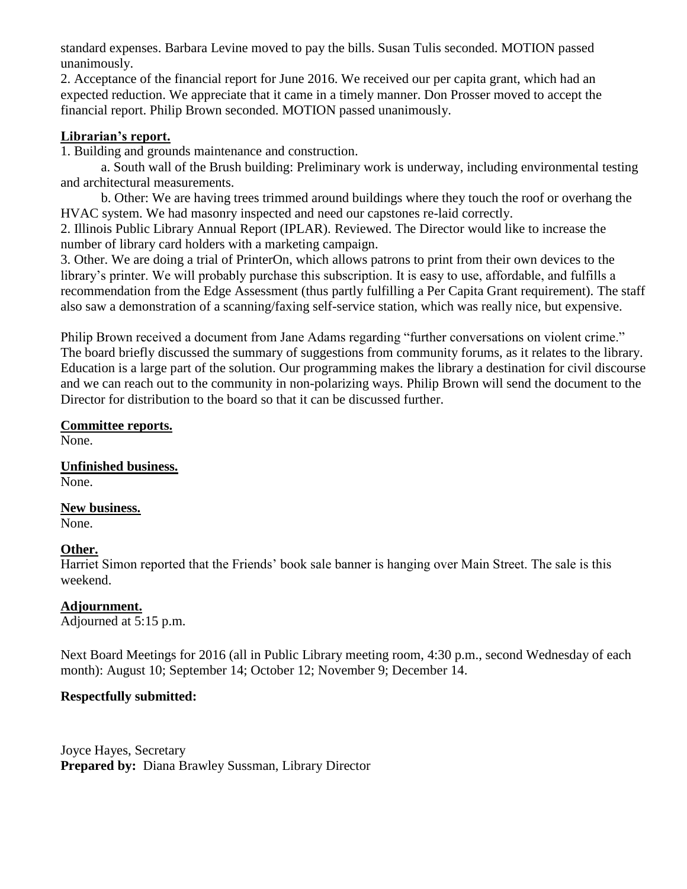standard expenses. Barbara Levine moved to pay the bills. Susan Tulis seconded. MOTION passed unanimously.

2. Acceptance of the financial report for June 2016. We received our per capita grant, which had an expected reduction. We appreciate that it came in a timely manner. Don Prosser moved to accept the financial report. Philip Brown seconded. MOTION passed unanimously.

### **Librarian's report.**

1. Building and grounds maintenance and construction.

a. South wall of the Brush building: Preliminary work is underway, including environmental testing and architectural measurements.

b. Other: We are having trees trimmed around buildings where they touch the roof or overhang the HVAC system. We had masonry inspected and need our capstones re-laid correctly.

2. Illinois Public Library Annual Report (IPLAR). Reviewed. The Director would like to increase the number of library card holders with a marketing campaign.

3. Other. We are doing a trial of PrinterOn, which allows patrons to print from their own devices to the library's printer. We will probably purchase this subscription. It is easy to use, affordable, and fulfills a recommendation from the Edge Assessment (thus partly fulfilling a Per Capita Grant requirement). The staff also saw a demonstration of a scanning/faxing self-service station, which was really nice, but expensive.

Philip Brown received a document from Jane Adams regarding "further conversations on violent crime." The board briefly discussed the summary of suggestions from community forums, as it relates to the library. Education is a large part of the solution. Our programming makes the library a destination for civil discourse and we can reach out to the community in non-polarizing ways. Philip Brown will send the document to the Director for distribution to the board so that it can be discussed further.

## **Committee reports.**

None.

**Unfinished business.** None.

## **New business.**

None.

## **Other.**

Harriet Simon reported that the Friends' book sale banner is hanging over Main Street. The sale is this weekend.

## **Adjournment.**

Adjourned at 5:15 p.m.

Next Board Meetings for 2016 (all in Public Library meeting room, 4:30 p.m., second Wednesday of each month): August 10; September 14; October 12; November 9; December 14.

#### **Respectfully submitted:**

Joyce Hayes, Secretary **Prepared by:** Diana Brawley Sussman, Library Director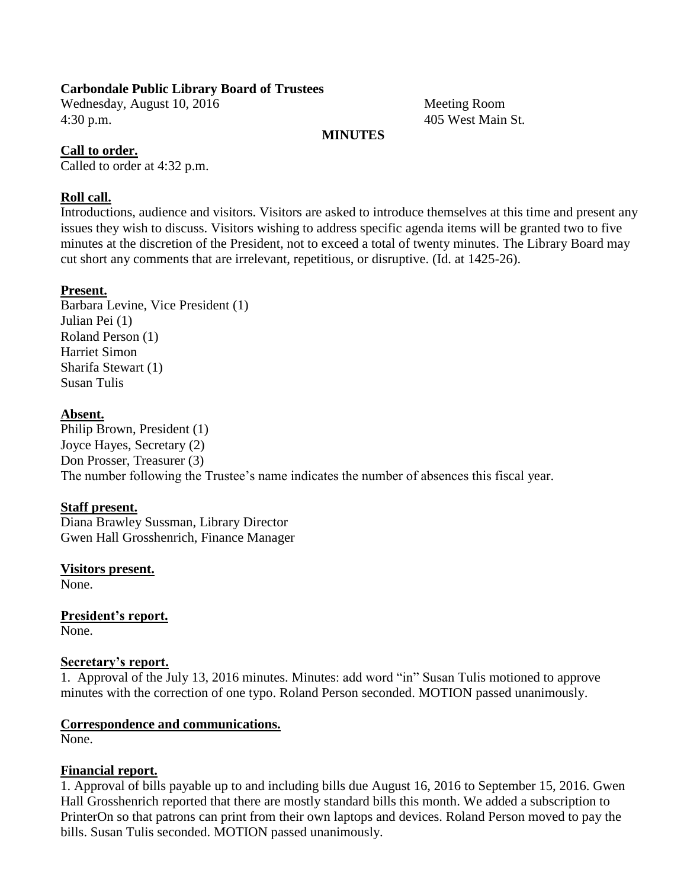#### **Carbondale Public Library Board of Trustees**

Wednesday, August 10, 2016 Meeting Room 4:30 p.m. 405 West Main St.

### **MINUTES**

#### **Call to order.**

Called to order at 4:32 p.m.

### **Roll call.**

Introductions, audience and visitors. Visitors are asked to introduce themselves at this time and present any issues they wish to discuss. Visitors wishing to address specific agenda items will be granted two to five minutes at the discretion of the President, not to exceed a total of twenty minutes. The Library Board may cut short any comments that are irrelevant, repetitious, or disruptive. (Id. at 1425-26).

### **Present.**

Barbara Levine, Vice President (1) Julian Pei (1) Roland Person (1) Harriet Simon Sharifa Stewart (1) Susan Tulis

### **Absent.**

Philip Brown, President (1) Joyce Hayes, Secretary (2) Don Prosser, Treasurer (3) The number following the Trustee's name indicates the number of absences this fiscal year.

#### **Staff present.**

Diana Brawley Sussman, Library Director Gwen Hall Grosshenrich, Finance Manager

#### **Visitors present.**

None.

**President's report.** None.

#### **Secretary's report.**

1. Approval of the July 13, 2016 minutes. Minutes: add word "in" Susan Tulis motioned to approve minutes with the correction of one typo. Roland Person seconded. MOTION passed unanimously.

#### **Correspondence and communications.**

None.

#### **Financial report.**

1. Approval of bills payable up to and including bills due August 16, 2016 to September 15, 2016. Gwen Hall Grosshenrich reported that there are mostly standard bills this month. We added a subscription to PrinterOn so that patrons can print from their own laptops and devices. Roland Person moved to pay the bills. Susan Tulis seconded. MOTION passed unanimously.